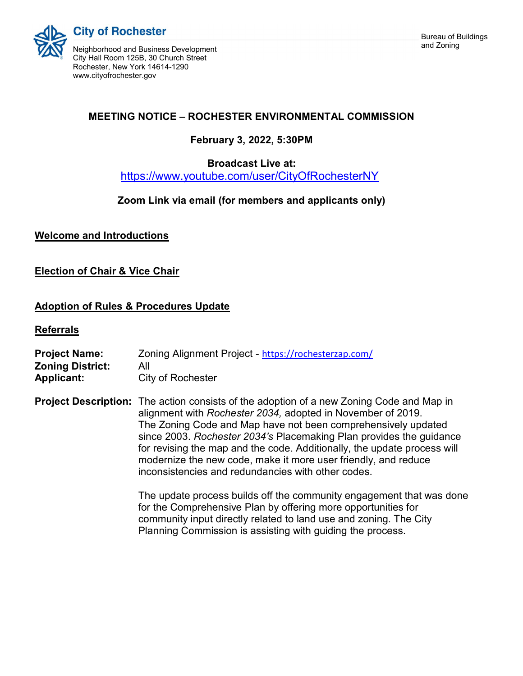

**City of Rochester** 

and Zoning Neighborhood and Business Development City Hall Room 125B, 30 Church Street Rochester, New York 14614-1290 www.cityofrochester.gov

# MEETING NOTICE – ROCHESTER ENVIRONMENTAL COMMISSION

# February 3, 2022, 5:30PM

### Broadcast Live at:

https://www.youtube.com/user/CityOfRochesterNY

## Zoom Link via email (for members and applicants only)

Welcome and Introductions

## **Election of Chair & Vice Chair**

## Adoption of Rules & Procedures Update

**Referrals** 

| <b>Project Name:</b><br><b>Zoning District:</b><br><b>Applicant:</b> | Zoning Alignment Project - https://rochesterzap.com/<br>All<br>City of Rochester                                                                                                                                                                                                                                                                                                                                                                                                                           |
|----------------------------------------------------------------------|------------------------------------------------------------------------------------------------------------------------------------------------------------------------------------------------------------------------------------------------------------------------------------------------------------------------------------------------------------------------------------------------------------------------------------------------------------------------------------------------------------|
|                                                                      | <b>Project Description:</b> The action consists of the adoption of a new Zoning Code and Map in<br>alignment with Rochester 2034, adopted in November of 2019.<br>The Zoning Code and Map have not been comprehensively updated<br>since 2003. Rochester 2034's Placemaking Plan provides the guidance<br>for revising the map and the code. Additionally, the update process will<br>modernize the new code, make it more user friendly, and reduce<br>inconsistencies and redundancies with other codes. |
|                                                                      | The update process builds off the community engagement that was done<br>for the Comprehensive Plan by offering more opportunities for<br>community input directly related to land use and zoning. The City<br>Planning Commission is assisting with guiding the process.                                                                                                                                                                                                                                   |